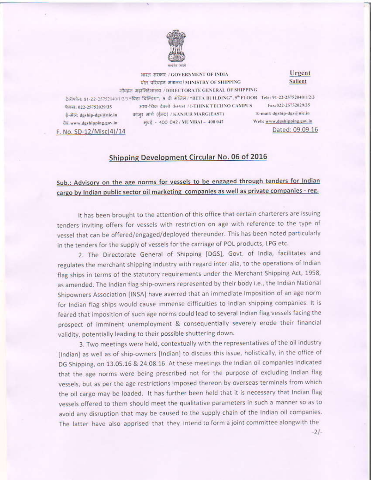

भारत सरकार / GOVERNMENT OF INDIA पोत परिवहन अंगलय/MINISTRY OF SHIPPING नौक्हन महानिदेशालय / DIRECTORATE GENERAL OF SHIPPING टेलीफोन: 91-22-25752040/1/2/3 "विटा विल्डिंग", 9 वी मंजिल / "BETA BUILDING", 9" FLOOR Tele: 91-22-25752040/1/2/3 आय-थिक टेक्नो कॅम्पस / I-THINK TECHNO CAMPUS E-mail: dgship-dgs@nic.in कांजुर मार्ग (ईस्ट) / KANJUR MARG(EAST) Web: www.dgshipping.gov.in 과대 - 400 042 / MUMBAI - 400 042

**Salient** Fax:022-25752029/35

Dated: 09.09.16

Urgent

फैक्स: 022-25752029/35 ई-मेल: dgship-dgs a nic.in वेद, www.dgshipping.gov.in F. No. SD-12/Misc(4)/14

## Shipping Development Circular No. 06 of 2016

## Sub.: Advisory on the age norms for vessels to be engaged through tenders for Indian cargo by Indian public sector oil marketing companies as well as private companies - reg.

It has been brought to the attention of this office that certain charterers are issuing tenders inviting offers for vessels with restriction on age with reference to the type of vessel that can be offered/engaged/deployed thereunder. This has been noted particularly in the tenders for the supply of vessels for the carriage of POL products, LPG etc.

2. The Directorate General of Shipping [DGS], Govt. of India, facilitates and regulates the merchant shipping industry with regard inter-alia, to the operations of Indian flag ships in terms of the statutory requirements under the Merchant Shipping Act, 1958, as amended. The Indian flag ship-owners represented by their body i.e., the Indian National Shipowners Association [INSA] have averred that an immediate imposition of an age norm for Indian flag ships would cause immense difficulties to Indian shipping companies. It is feared that imposition of such age norms could lead to several Indian flag vessels facing the prospect of imminent unemployment & consequentially severely erode their financial validity, potentially leading to their possible shuttering down.

3. Two meetings were held, contextually with the representatives of the oil industry [Indian] as well as of ship-owners [Indian] to discuss this issue, holistically, in the office of DG Shipping, on 13.05.16 & 24.08.16. At these meetings the Indian oil companies indicated that the age norms were being prescribed not for the purpose of excluding Indian flag vessels, but as per the age restrictions imposed thereon by overseas terminals from which the oil cargo may be loaded. It has further been held that it is necessary that Indian flag vessels offered to them should meet the qualitative parameters in such a manner so as to avoid any disruption that may be caused to the supply chain of the Indian oil companies. The latter have also apprised that they intend to form a joint committee alongwith the

 $-2/-$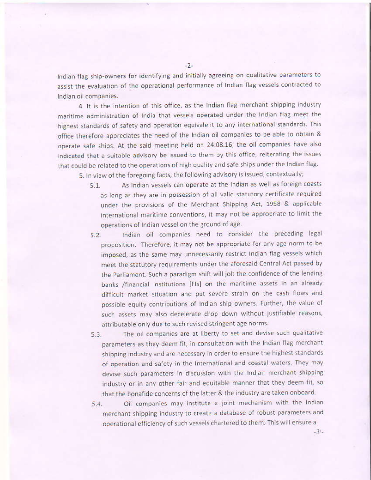Indian flag ship-owners for identifying and initially agreeing on qualitative parameters to assist the evaluation of the operational performance of Indian flag vessels contracted to Indian oil companies.

4. It is the intention of this office, as the Indian flag merchant shipping industry maritime administration of India that vessels operated under the Indian flag meet the highest standards of safety and operation equivalent to any international standards. This office therefore appreciates the need of the Indian oil companies to be able to obtain & operate safe ships. At the said meeting held on 24.08.16, the oil companies have also indicated that a suitable advisory be issued to them by this office, reiterating the issues that could be related to the operations of high quality and safe ships under the Indian flag.

5. In view of the foregoing facts, the following advisory is issued, contextually;

- As Indian vessels can operate at the Indian as well as foreign coasts  $5.1.$ as long as they are in possession of all valid statutory certificate required under the provisions of the Merchant Shipping Act, 1958 & applicable international maritime conventions, it may not be appropriate to limit the operations of Indian vessel on the ground of age.
- Indian oil companies need to consider the preceding legal  $5.2.$ proposition. Therefore, it may not be appropriate for any age norm to be imposed, as the same may unnecessarily restrict Indian flag vessels which meet the statutory requirements under the aforesaid Central Act passed by the Parliament. Such a paradigm shift will jolt the confidence of the lending banks /financial institutions [FIs] on the maritime assets in an already difficult market situation and put severe strain on the cash flows and possible equity contributions of Indian ship owners. Further, the value of such assets may also decelerate drop down without justifiable reasons, attributable only due to such revised stringent age norms.
- The oil companies are at liberty to set and devise such qualitative  $5.3.$ parameters as they deem fit, in consultation with the Indian flag merchant shipping industry and are necessary in order to ensure the highest standards of operation and safety in the International and coastal waters. They may devise such parameters in discussion with the Indian merchant shipping industry or in any other fair and equitable manner that they deem fit, so that the bonafide concerns of the latter & the industry are taken onboard.
- Oil companies may institute a joint mechanism with the Indian  $5.4.$ merchant shipping industry to create a database of robust parameters and operational efficiency of such vessels chartered to them. This will ensure a

 $-3/-$